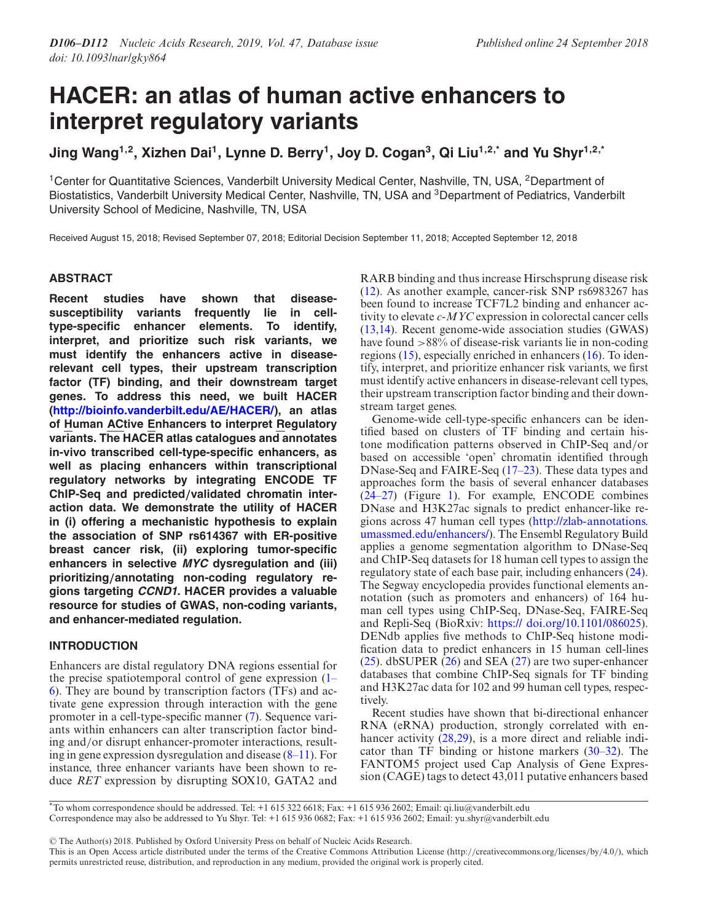# **HACER: an atlas of human active enhancers to interpret regulatory variants**

**Jing Wang1,2, Xizhen Dai1, Lynne D. Berry1, Joy D. Cogan3, Qi Liu1,2,\* and Yu Shyr1,2,\***

<sup>1</sup>Center for Quantitative Sciences, Vanderbilt University Medical Center, Nashville, TN, USA, <sup>2</sup>Department of Biostatistics, Vanderbilt University Medical Center, Nashville, TN, USA and <sup>3</sup>Department of Pediatrics, Vanderbilt University School of Medicine, Nashville, TN, USA

Received August 15, 2018; Revised September 07, 2018; Editorial Decision September 11, 2018; Accepted September 12, 2018

# **ABSTRACT**

**Recent studies have shown that diseasesusceptibility variants frequently lie in celltype-specific enhancer elements. To identify, interpret, and prioritize such risk variants, we must identify the enhancers active in diseaserelevant cell types, their upstream transcription factor (TF) binding, and their downstream target genes. To address this need, we built HACER [\(http://bioinfo.vanderbilt.edu/AE/HACER/\)](http://bioinfo.vanderbilt.edu/AE/HACER/), an atlas of Human ACtive Enhancers to interpret Regulatory variants. The HACER atlas catalogues and annotates in-vivo transcribed cell-type-specific enhancers, as well as placing enhancers within transcriptional regulatory networks by integrating ENCODE TF ChIP-Seq and predicted***/***validated chromatin interaction data. We demonstrate the utility of HACER in (i) offering a mechanistic hypothesis to explain the association of SNP rs614367 with ER-positive breast cancer risk, (ii) exploring tumor-specific enhancers in selective MYC dysregulation and (iii) prioritizing***/***annotating non-coding regulatory regions targeting CCND1. HACER provides a valuable resource for studies of GWAS, non-coding variants, and enhancer-mediated regulation.**

# **INTRODUCTION**

Enhancers are distal regulatory DNA regions essential for the precise spatiotemporal control of gene expression (1– [6\). They are bound by transcription factors \(TFs\) and ac](#page-4-0)tivate gene expression through interaction with the gene promoter in a cell-type-specific manner [\(7\)](#page-4-0). Sequence variants within enhancers can alter transcription factor binding and/or disrupt enhancer-promoter interactions, resulting in gene expression dysregulation and disease [\(8–11\)](#page-4-0). For instance, three enhancer variants have been shown to reduce *RET* expression by disrupting SOX10, GATA2 and RARB binding and thus increase Hirschsprung disease risk [\(12\)](#page-4-0). As another example, cancer-risk SNP rs6983267 has been found to increase TCF7L2 binding and enhancer activity to elevate *c-MYC* expression in colorectal cancer cells [\(13,14\)](#page-5-0). Recent genome-wide association studies (GWAS) have found >88% of disease-risk variants lie in non-coding regions [\(15\)](#page-5-0), especially enriched in enhancers [\(16\)](#page-5-0). To identify, interpret, and prioritize enhancer risk variants, we first must identify active enhancers in disease-relevant cell types, their upstream transcription factor binding and their downstream target genes.

Genome-wide cell-type-specific enhancers can be identified based on clusters of TF binding and certain histone modification patterns observed in ChIP-Seq and/or based on accessible 'open' chromatin identified through DNase-Seq and FAIRE-Seq [\(17–23\)](#page-5-0). These data types and approaches form the basis of several enhancer databases [\(24–27\)](#page-5-0) (Figure [1\)](#page-1-0). For example, ENCODE combines DNase and H3K27ac signals to predict enhancer-like regions across 47 human cell types (http://zlab-annotations. [umassmed.edu/enhancers/\). The Ensembl Regulatory Build](http://zlab-annotations.umassmed.edu/enhancers/) applies a genome segmentation algorithm to DNase-Seq and ChIP-Seq datasets for 18 human cell types to assign the regulatory state of each base pair, including enhancers [\(24\)](#page-5-0). The Segway encyclopedia provides functional elements annotation (such as promoters and enhancers) of 164 human cell types using ChIP-Seq, DNase-Seq, FAIRE-Seq and Repli-Seq (BioRxiv: [https:// doi.org/10.1101/086025\)](https://%20doi.org/10.1101/086025). DENdb applies five methods to ChIP-Seq histone modification data to predict enhancers in 15 human cell-lines [\(25\)](#page-5-0). dbSUPER [\(26\)](#page-5-0) and SEA [\(27\)](#page-5-0) are two super-enhancer databases that combine ChIP-Seq signals for TF binding and H3K27ac data for 102 and 99 human cell types, respectively.

Recent studies have shown that bi-directional enhancer RNA (eRNA) production, strongly correlated with enhancer activity  $(28,29)$ , is a more direct and reliable indicator than TF binding or histone markers [\(30–32\)](#page-5-0). The FANTOM5 project used Cap Analysis of Gene Expression (CAGE) tags to detect 43,011 putative enhancers based

-<sup>C</sup> The Author(s) 2018. Published by Oxford University Press on behalf of Nucleic Acids Research.

<sup>\*</sup>To whom correspondence should be addressed. Tel: +1 615 322 6618; Fax: +1 615 936 2602; Email: qi.liu@vanderbilt.edu

Correspondence may also be addressed to Yu Shyr. Tel: +1 615 936 0682; Fax: +1 615 936 2602; Email: yu.shyr@vanderbilt.edu

This is an Open Access article distributed under the terms of the Creative Commons Attribution License (http://creativecommons.org/licenses/by/4.0/), which permits unrestricted reuse, distribution, and reproduction in any medium, provided the original work is properly cited.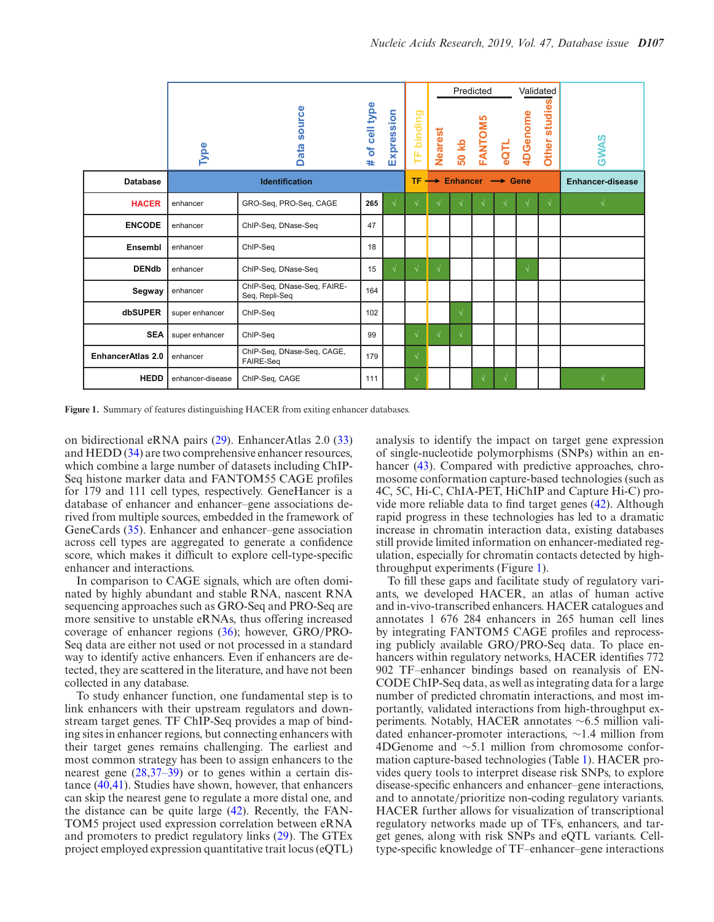<span id="page-1-0"></span>

|                          | Type             | ource<br>m<br>ata<br>۵                        | # of cell type | Expression | TF binding |                                              | Nearest<br>50 kb | Predicted<br><b>FANTOM5</b> | eQTL       | Validated<br>4DGenome | ທ<br>studie<br>Other: | <b>GWAS</b>             |
|--------------------------|------------------|-----------------------------------------------|----------------|------------|------------|----------------------------------------------|------------------|-----------------------------|------------|-----------------------|-----------------------|-------------------------|
| <b>Database</b>          |                  | <b>Identification</b>                         |                |            |            | $TF \rightarrow$ Enhancer $\rightarrow$ Gene |                  |                             |            |                       |                       | <b>Enhancer-disease</b> |
| <b>HACER</b>             | enhancer         | GRO-Seq, PRO-Seq, CAGE                        | 265            | $\sqrt{ }$ |            |                                              |                  |                             |            |                       | $\sqrt{ }$            |                         |
| <b>ENCODE</b>            | enhancer         | ChIP-Seq, DNase-Seq                           | 47             |            |            |                                              |                  |                             |            |                       |                       |                         |
| Ensembl                  | enhancer         | ChIP-Seq                                      | 18             |            |            |                                              |                  |                             |            |                       |                       |                         |
| <b>DENdb</b>             | enhancer         | ChIP-Seq, DNase-Seq                           | 15             | $\sqrt{ }$ | $\sqrt{ }$ | $\sqrt{ }$                                   |                  |                             |            | $\sqrt{ }$            |                       |                         |
| Segway                   | enhancer         | ChIP-Seq, DNase-Seq, FAIRE-<br>Seq, Repli-Seq | 164            |            |            |                                              |                  |                             |            |                       |                       |                         |
| dbSUPER                  | super enhancer   | ChIP-Seq                                      | 102            |            |            |                                              | $\sqrt{ }$       |                             |            |                       |                       |                         |
| <b>SEA</b>               | super enhancer   | ChIP-Seq                                      | 99             |            | $\sqrt{}$  | $\sqrt{ }$                                   | $\sqrt{ }$       |                             |            |                       |                       |                         |
| <b>EnhancerAtlas 2.0</b> | enhancer         | ChIP-Seq, DNase-Seq, CAGE,<br>FAIRE-Seq       | 179            |            | $\sqrt{}$  |                                              |                  |                             |            |                       |                       |                         |
| <b>HEDD</b>              | enhancer-disease | ChIP-Seq, CAGE                                | 111            |            | $\sqrt{}$  |                                              |                  | $\sqrt{ }$                  | $\sqrt{ }$ |                       |                       | $\sqrt{ }$              |

**Figure 1.** Summary of features distinguishing HACER from exiting enhancer databases.

on bidirectional eRNA pairs [\(29\)](#page-5-0). EnhancerAtlas 2.0 [\(33\)](#page-5-0) and HEDD [\(34\)](#page-5-0) are two comprehensive enhancer resources, which combine a large number of datasets including ChIP-Seq histone marker data and FANTOM55 CAGE profiles for 179 and 111 cell types, respectively. GeneHancer is a database of enhancer and enhancer–gene associations derived from multiple sources, embedded in the framework of GeneCards [\(35\)](#page-5-0). Enhancer and enhancer–gene association across cell types are aggregated to generate a confidence score, which makes it difficult to explore cell-type-specific enhancer and interactions.

In comparison to CAGE signals, which are often dominated by highly abundant and stable RNA, nascent RNA sequencing approaches such as GRO-Seq and PRO-Seq are more sensitive to unstable eRNAs, thus offering increased coverage of enhancer regions [\(36\)](#page-5-0); however, GRO/PRO-Seq data are either not used or not processed in a standard way to identify active enhancers. Even if enhancers are detected, they are scattered in the literature, and have not been collected in any database.

To study enhancer function, one fundamental step is to link enhancers with their upstream regulators and downstream target genes. TF ChIP-Seq provides a map of binding sites in enhancer regions, but connecting enhancers with their target genes remains challenging. The earliest and most common strategy has been to assign enhancers to the nearest gene [\(28,37–39\)](#page-5-0) or to genes within a certain distance [\(40,41\)](#page-5-0). Studies have shown, however, that enhancers can skip the nearest gene to regulate a more distal one, and the distance can be quite large [\(42\)](#page-5-0). Recently, the FAN-TOM5 project used expression correlation between eRNA and promoters to predict regulatory links [\(29\)](#page-5-0). The GTEx project employed expression quantitative trait locus (eQTL) analysis to identify the impact on target gene expression of single-nucleotide polymorphisms (SNPs) within an en-hancer [\(43\)](#page-5-0). Compared with predictive approaches, chromosome conformation capture-based technologies (such as 4C, 5C, Hi-C, ChIA-PET, HiChIP and Capture Hi-C) provide more reliable data to find target genes [\(42\)](#page-5-0). Although rapid progress in these technologies has led to a dramatic increase in chromatin interaction data, existing databases still provide limited information on enhancer-mediated regulation, especially for chromatin contacts detected by highthroughput experiments (Figure 1).

To fill these gaps and facilitate study of regulatory variants, we developed HACER, an atlas of human active and in-vivo-transcribed enhancers. HACER catalogues and annotates 1 676 284 enhancers in 265 human cell lines by integrating FANTOM5 CAGE profiles and reprocessing publicly available GRO/PRO-Seq data. To place enhancers within regulatory networks, HACER identifies 772 902 TF–enhancer bindings based on reanalysis of EN-CODE ChIP-Seq data, as well as integrating data for a large number of predicted chromatin interactions, and most importantly, validated interactions from high-throughput experiments. Notably, HACER annotates ∼6.5 million validated enhancer-promoter interactions, ∼1.4 million from 4DGenome and ∼5.1 million from chromosome conformation capture-based technologies (Table [1\)](#page-2-0). HACER provides query tools to interpret disease risk SNPs, to explore disease-specific enhancers and enhancer–gene interactions, and to annotate/prioritize non-coding regulatory variants. HACER further allows for visualization of transcriptional regulatory networks made up of TFs, enhancers, and target genes, along with risk SNPs and eQTL variants. Celltype-specific knowledge of TF–enhancer–gene interactions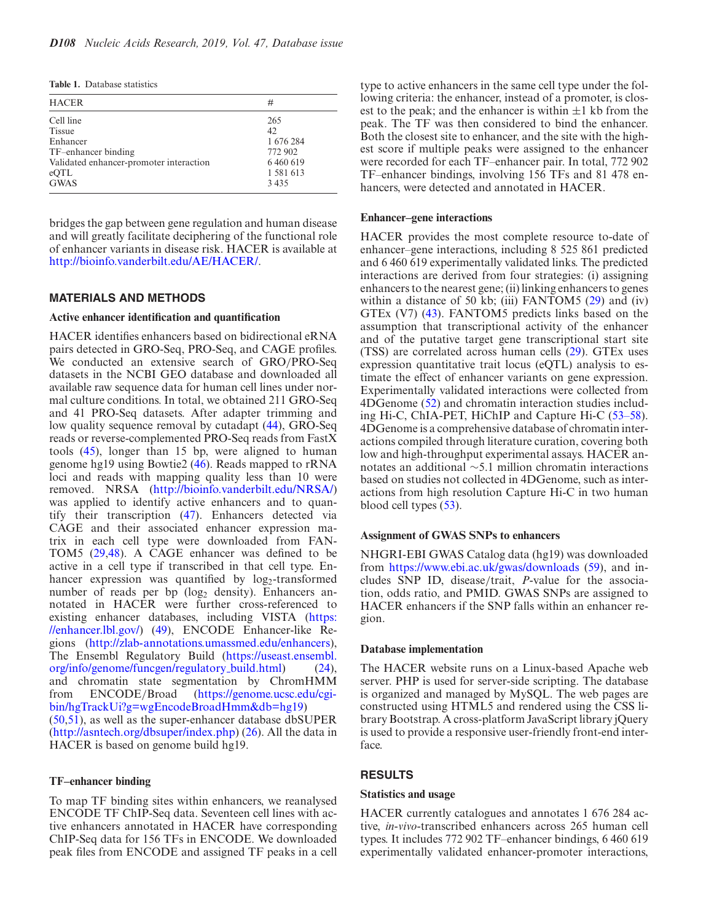<span id="page-2-0"></span>**Table 1.** Database statistics

| <b>HACER</b>                            | #             |  |  |  |  |
|-----------------------------------------|---------------|--|--|--|--|
| Cell line                               | 265           |  |  |  |  |
| <b>Tissue</b>                           | 42            |  |  |  |  |
| Enhancer                                | 1 676 284     |  |  |  |  |
| TF-enhancer binding                     | 772 902       |  |  |  |  |
| Validated enhancer-promoter interaction | 6 4 6 0 6 1 9 |  |  |  |  |
| eQTL                                    | 1 581 613     |  |  |  |  |
| <b>GWAS</b>                             | 3435          |  |  |  |  |

bridges the gap between gene regulation and human disease and will greatly facilitate deciphering of the functional role of enhancer variants in disease risk. HACER is available at [http://bioinfo.vanderbilt.edu/AE/HACER/.](http://bioinfo.vanderbilt.edu/AE/HACER/)

#### **MATERIALS AND METHODS**

## **Active enhancer identification and quantification**

HACER identifies enhancers based on bidirectional eRNA pairs detected in GRO-Seq, PRO-Seq, and CAGE profiles. We conducted an extensive search of GRO/PRO-Seq datasets in the NCBI GEO database and downloaded all available raw sequence data for human cell lines under normal culture conditions. In total, we obtained 211 GRO-Seq and 41 PRO-Seq datasets. After adapter trimming and low quality sequence removal by cutadapt [\(44\)](#page-5-0), GRO-Seq reads or reverse-complemented PRO-Seq reads from FastX tools [\(45\)](#page-5-0), longer than 15 bp, were aligned to human genome hg19 using Bowtie2 [\(46\)](#page-5-0). Reads mapped to rRNA loci and reads with mapping quality less than 10 were removed. NRSA [\(http://bioinfo.vanderbilt.edu/NRSA/\)](http://bioinfo.vanderbilt.edu/NRSA/) was applied to identify active enhancers and to quantify their transcription [\(47\)](#page-5-0). Enhancers detected via CAGE and their associated enhancer expression matrix in each cell type were downloaded from FAN-TOM5 [\(29,48\)](#page-5-0). A CAGE enhancer was defined to be active in a cell type if transcribed in that cell type. Enhancer expression was quantified by  $log_2$ -transformed number of reads per bp  $(log_2$  density). Enhancers annotated in HACER were further cross-referenced to [existing enhancer databases, including VISTA \(https:](https://enhancer.lbl.gov/) //enhancer.lbl.gov/) [\(49\)](#page-5-0), ENCODE Enhancer-like Regions [\(http://zlab-annotations.umassmed.edu/enhancers\)](http://zlab-annotations.umassmed.edu/enhancers), [The Ensembl Regulatory Build \(https://useast.ensembl.](https://useast.ensembl.org/info/genome/funcgen/regulatory_build.html) org/info/genome/funcgen/regulatory build.html) [\(24\)](#page-5-0), and chromatin state segmentation by ChromHMM from ENCODE/Broad (https://genome.ucsc.edu/cgi[bin/hgTrackUi?g=wgEncodeBroadHmm&db=hg19\)](https://genome.ucsc.edu/cgi-bin/hgTrackUi?g=wgEncodeBroadHmm&db=hg19)

[\(50,51\)](#page-5-0), as well as the super-enhancer database dbSUPER [\(http://asntech.org/dbsuper/index.php\)](http://asntech.org/dbsuper/index.php) [\(26\)](#page-5-0). All the data in HACER is based on genome build hg19.

## **TF–enhancer binding**

To map TF binding sites within enhancers, we reanalysed ENCODE TF ChIP-Seq data. Seventeen cell lines with active enhancers annotated in HACER have corresponding ChIP-Seq data for 156 TFs in ENCODE. We downloaded peak files from ENCODE and assigned TF peaks in a cell

type to active enhancers in the same cell type under the following criteria: the enhancer, instead of a promoter, is closest to the peak; and the enhancer is within  $\pm 1$  kb from the peak. The TF was then considered to bind the enhancer. Both the closest site to enhancer, and the site with the highest score if multiple peaks were assigned to the enhancer were recorded for each TF–enhancer pair. In total, 772 902 TF–enhancer bindings, involving 156 TFs and 81 478 enhancers, were detected and annotated in HACER.

## **Enhancer–gene interactions**

HACER provides the most complete resource to-date of enhancer–gene interactions, including 8 525 861 predicted and 6 460 619 experimentally validated links. The predicted interactions are derived from four strategies: (i) assigning enhancers to the nearest gene; (ii) linking enhancers to genes within a distance of 50 kb; (iii) FANTOM5  $(29)$  and (iv) GTEx (V7) [\(43\)](#page-5-0). FANTOM5 predicts links based on the assumption that transcriptional activity of the enhancer and of the putative target gene transcriptional start site (TSS) are correlated across human cells [\(29\)](#page-5-0). GTEx uses expression quantitative trait locus (eQTL) analysis to estimate the effect of enhancer variants on gene expression. Experimentally validated interactions were collected from 4DGenome [\(52\)](#page-5-0) and chromatin interaction studies including Hi-C, ChIA-PET, HiChIP and Capture Hi-C [\(53–58\)](#page-5-0). 4DGenome is a comprehensive database of chromatin interactions compiled through literature curation, covering both low and high-throughput experimental assays. HACER annotates an additional ∼5.1 million chromatin interactions based on studies not collected in 4DGenome, such as interactions from high resolution Capture Hi-C in two human blood cell types [\(53\)](#page-5-0).

## **Assignment of GWAS SNPs to enhancers**

NHGRI-EBI GWAS Catalog data (hg19) was downloaded from <https://www.ebi.ac.uk/gwas/downloads> [\(59\)](#page-6-0), and includes SNP ID, disease/trait, *P*-value for the association, odds ratio, and PMID. GWAS SNPs are assigned to HACER enhancers if the SNP falls within an enhancer region.

## **Database implementation**

The HACER website runs on a Linux-based Apache web server. PHP is used for server-side scripting. The database is organized and managed by MySQL. The web pages are constructed using HTML5 and rendered using the CSS library Bootstrap. A cross-platform JavaScript library jQuery is used to provide a responsive user-friendly front-end interface.

## **RESULTS**

## **Statistics and usage**

HACER currently catalogues and annotates 1 676 284 active, *in-vivo*-transcribed enhancers across 265 human cell types. It includes 772 902 TF–enhancer bindings, 6 460 619 experimentally validated enhancer-promoter interactions,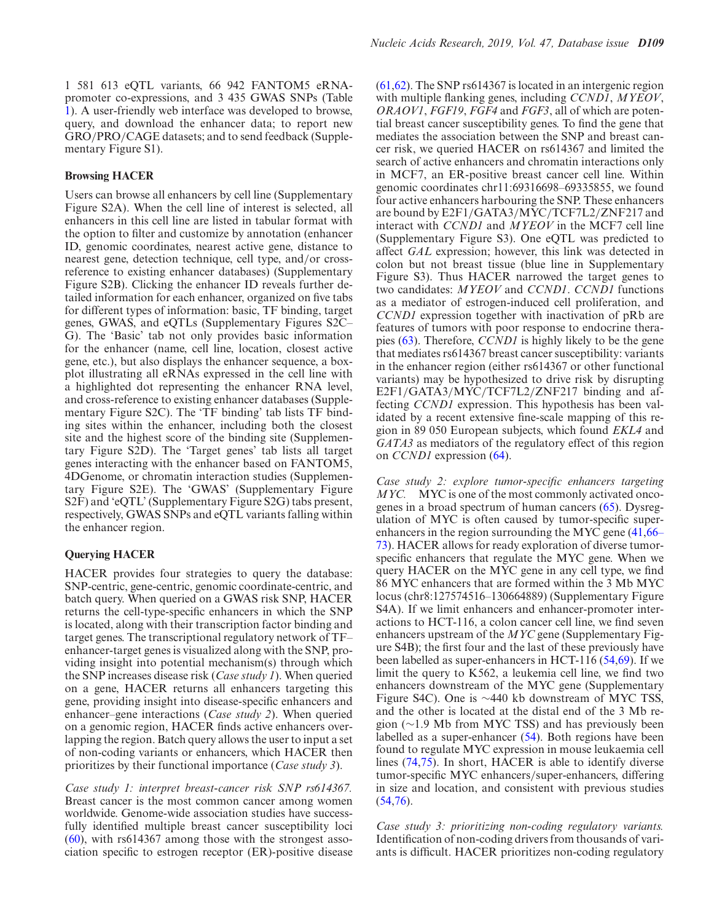1 581 613 eQTL variants, 66 942 FANTOM5 eRNApromoter co-expressions, and 3 435 GWAS SNPs (Table [1\)](#page-2-0). A user-friendly web interface was developed to browse, query, and download the enhancer data; to report new GRO/PRO/CAGE datasets; and to send feedback (Supplementary Figure S1).

## **Browsing HACER**

Users can browse all enhancers by cell line (Supplementary Figure S2A). When the cell line of interest is selected, all enhancers in this cell line are listed in tabular format with the option to filter and customize by annotation (enhancer ID, genomic coordinates, nearest active gene, distance to nearest gene, detection technique, cell type, and/or crossreference to existing enhancer databases) (Supplementary Figure S2B). Clicking the enhancer ID reveals further detailed information for each enhancer, organized on five tabs for different types of information: basic, TF binding, target genes, GWAS, and eQTLs (Supplementary Figures S2C– G). The 'Basic' tab not only provides basic information for the enhancer (name, cell line, location, closest active gene, etc.), but also displays the enhancer sequence, a boxplot illustrating all eRNAs expressed in the cell line with a highlighted dot representing the enhancer RNA level, and cross-reference to existing enhancer databases (Supplementary Figure S2C). The 'TF binding' tab lists TF binding sites within the enhancer, including both the closest site and the highest score of the binding site (Supplementary Figure S2D). The 'Target genes' tab lists all target genes interacting with the enhancer based on FANTOM5, 4DGenome, or chromatin interaction studies (Supplementary Figure S2E). The 'GWAS' (Supplementary Figure S2F) and 'eQTL' (Supplementary Figure S2G) tabs present, respectively, GWAS SNPs and eQTL variants falling within the enhancer region.

## **Querying HACER**

HACER provides four strategies to query the database: SNP-centric, gene-centric, genomic coordinate-centric, and batch query. When queried on a GWAS risk SNP, HACER returns the cell-type-specific enhancers in which the SNP is located, along with their transcription factor binding and target genes. The transcriptional regulatory network of TF– enhancer-target genes is visualized along with the SNP, providing insight into potential mechanism(s) through which the SNP increases disease risk (*Case study 1*). When queried on a gene, HACER returns all enhancers targeting this gene, providing insight into disease-specific enhancers and enhancer–gene interactions (*Case study 2*). When queried on a genomic region, HACER finds active enhancers overlapping the region. Batch query allows the user to input a set of non-coding variants or enhancers, which HACER then prioritizes by their functional importance (*Case study 3*).

*Case study 1: interpret breast-cancer risk SNP rs614367.* Breast cancer is the most common cancer among women worldwide. Genome-wide association studies have successfully identified multiple breast cancer susceptibility loci [\(60\)](#page-6-0), with rs614367 among those with the strongest association specific to estrogen receptor (ER)-positive disease [\(61,62\)](#page-6-0). The SNP rs614367 is located in an intergenic region with multiple flanking genes, including *CCND1*, *MYEOV*, *ORAOV1*, *FGF19*, *FGF4* and *FGF3*, all of which are potential breast cancer susceptibility genes. To find the gene that mediates the association between the SNP and breast cancer risk, we queried HACER on rs614367 and limited the search of active enhancers and chromatin interactions only in MCF7, an ER-positive breast cancer cell line. Within genomic coordinates chr11:69316698–69335855, we found four active enhancers harbouring the SNP. These enhancers are bound by E2F1/GATA3/MYC/TCF7L2/ZNF217 and interact with *CCND1* and *MYEOV* in the MCF7 cell line (Supplementary Figure S3). One eQTL was predicted to affect *GAL* expression; however, this link was detected in colon but not breast tissue (blue line in Supplementary Figure S3). Thus HACER narrowed the target genes to two candidates: *MYEOV* and *CCND1*. *CCND1* functions as a mediator of estrogen-induced cell proliferation, and *CCND1* expression together with inactivation of pRb are features of tumors with poor response to endocrine therapies [\(63\)](#page-6-0). Therefore, *CCND1* is highly likely to be the gene that mediates rs614367 breast cancer susceptibility: variants in the enhancer region (either rs614367 or other functional variants) may be hypothesized to drive risk by disrupting E2F1/GATA3/MYC/TCF7L2/ZNF217 binding and affecting *CCND1* expression. This hypothesis has been validated by a recent extensive fine-scale mapping of this region in 89 050 European subjects, which found *EKL4* and *GATA3* as mediators of the regulatory effect of this region on *CCND1* expression [\(64\)](#page-6-0).

*Case study 2: explore tumor-specific enhancers targeting MYC.* MYC is one of the most commonly activated oncogenes in a broad spectrum of human cancers [\(65\)](#page-6-0). Dysregulation of MYC is often caused by tumor-specific superenhancers in the region surrounding the MYC gene  $(41, 66 (41, 66-$ [73\). HACER allows for ready exploration of diverse tumor](#page-6-0)specific enhancers that regulate the MYC gene. When we query HACER on the MYC gene in any cell type, we find 86 MYC enhancers that are formed within the 3 Mb MYC locus (chr8:127574516–130664889) (Supplementary Figure S4A). If we limit enhancers and enhancer-promoter interactions to HCT-116, a colon cancer cell line, we find seven enhancers upstream of the *MYC* gene (Supplementary Figure S4B); the first four and the last of these previously have been labelled as super-enhancers in HCT-116 [\(54,69\)](#page-6-0). If we limit the query to K562, a leukemia cell line, we find two enhancers downstream of the MYC gene (Supplementary Figure S4C). One is ∼440 kb downstream of MYC TSS, and the other is located at the distal end of the 3 Mb region (∼1.9 Mb from MYC TSS) and has previously been labelled as a super-enhancer [\(54\)](#page-6-0). Both regions have been found to regulate MYC expression in mouse leukaemia cell lines [\(74,75\)](#page-6-0). In short, HACER is able to identify diverse tumor-specific MYC enhancers/super-enhancers, differing in size and location, and consistent with previous studies  $(54,76)$ .

*Case study 3: prioritizing non-coding regulatory variants.* Identification of non-coding drivers from thousands of variants is difficult. HACER prioritizes non-coding regulatory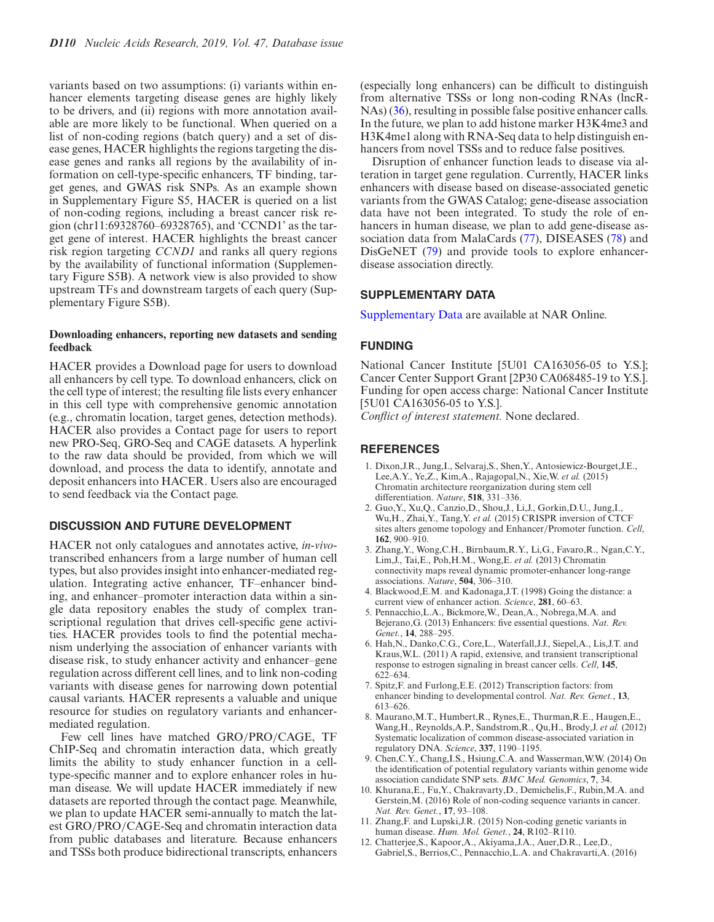<span id="page-4-0"></span>variants based on two assumptions: (i) variants within enhancer elements targeting disease genes are highly likely to be drivers, and (ii) regions with more annotation available are more likely to be functional. When queried on a list of non-coding regions (batch query) and a set of disease genes, HACER highlights the regions targeting the disease genes and ranks all regions by the availability of information on cell-type-specific enhancers, TF binding, target genes, and GWAS risk SNPs. As an example shown in Supplementary Figure S5, HACER is queried on a list of non-coding regions, including a breast cancer risk region (chr11:69328760–69328765), and 'CCND1' as the target gene of interest. HACER highlights the breast cancer risk region targeting *CCND1* and ranks all query regions by the availability of functional information (Supplementary Figure S5B). A network view is also provided to show upstream TFs and downstream targets of each query (Supplementary Figure S5B).

## **Downloading enhancers, reporting new datasets and sending feedback**

HACER provides a Download page for users to download all enhancers by cell type. To download enhancers, click on the cell type of interest; the resulting file lists every enhancer in this cell type with comprehensive genomic annotation (e.g., chromatin location, target genes, detection methods). HACER also provides a Contact page for users to report new PRO-Seq, GRO-Seq and CAGE datasets. A hyperlink to the raw data should be provided, from which we will download, and process the data to identify, annotate and deposit enhancers into HACER. Users also are encouraged to send feedback via the Contact page.

## **DISCUSSION AND FUTURE DEVELOPMENT**

HACER not only catalogues and annotates active, *in-vivo*transcribed enhancers from a large number of human cell types, but also provides insight into enhancer-mediated regulation. Integrating active enhancer, TF–enhancer binding, and enhancer–promoter interaction data within a single data repository enables the study of complex transcriptional regulation that drives cell-specific gene activities. HACER provides tools to find the potential mechanism underlying the association of enhancer variants with disease risk, to study enhancer activity and enhancer–gene regulation across different cell lines, and to link non-coding variants with disease genes for narrowing down potential causal variants. HACER represents a valuable and unique resource for studies on regulatory variants and enhancermediated regulation.

Few cell lines have matched GRO/PRO/CAGE, TF ChIP-Seq and chromatin interaction data, which greatly limits the ability to study enhancer function in a celltype-specific manner and to explore enhancer roles in human disease. We will update HACER immediately if new datasets are reported through the contact page. Meanwhile, we plan to update HACER semi-annually to match the latest GRO/PRO/CAGE-Seq and chromatin interaction data from public databases and literature. Because enhancers and TSSs both produce bidirectional transcripts, enhancers

(especially long enhancers) can be difficult to distinguish from alternative TSSs or long non-coding RNAs (lncR-NAs) [\(36\)](#page-5-0), resulting in possible false positive enhancer calls. In the future, we plan to add histone marker H3K4me3 and H3K4me1 along with RNA-Seq data to help distinguish enhancers from novel TSSs and to reduce false positives.

Disruption of enhancer function leads to disease via alteration in target gene regulation. Currently, HACER links enhancers with disease based on disease-associated genetic variants from the GWAS Catalog; gene-disease association data have not been integrated. To study the role of enhancers in human disease, we plan to add gene-disease association data from MalaCards [\(77\)](#page-6-0), DISEASES [\(78\)](#page-6-0) and DisGeNET [\(79\)](#page-6-0) and provide tools to explore enhancerdisease association directly.

## **SUPPLEMENTARY DATA**

[Supplementary Data](https://academic.oup.com/nar/article-lookup/doi/10.1093/nar/gky864#supplementary-data) are available at NAR Online.

## **FUNDING**

National Cancer Institute [5U01 CA163056-05 to Y.S.]; Cancer Center Support Grant [2P30 CA068485-19 to Y.S.]. Funding for open access charge: National Cancer Institute [5U01 CA163056-05 to Y.S.].

*Conflict of interest statement.* None declared.

## **REFERENCES**

- 1. Dixon,J.R., Jung,I., Selvaraj,S., Shen,Y., Antosiewicz-Bourget,J.E., Lee,A.Y., Ye,Z., Kim,A., Rajagopal,N., Xie,W. *et al.* (2015) Chromatin architecture reorganization during stem cell differentiation. *Nature*, **518**, 331–336.
- 2. Guo,Y., Xu,Q., Canzio,D., Shou,J., Li,J., Gorkin,D.U., Jung,I., Wu,H., Zhai,Y., Tang,Y. *et al.* (2015) CRISPR inversion of CTCF sites alters genome topology and Enhancer/Promoter function. *Cell*, **162**, 900–910.
- 3. Zhang,Y., Wong,C.H., Birnbaum,R.Y., Li,G., Favaro,R., Ngan,C.Y., Lim,J., Tai,E., Poh,H.M., Wong,E. *et al.* (2013) Chromatin connectivity maps reveal dynamic promoter-enhancer long-range associations. *Nature*, **504**, 306–310.
- 4. Blackwood,E.M. and Kadonaga,J.T. (1998) Going the distance: a current view of enhancer action. *Science*, **281**, 60–63.
- 5. Pennacchio,L.A., Bickmore,W., Dean,A., Nobrega,M.A. and Bejerano,G. (2013) Enhancers: five essential questions. *Nat. Rev. Genet.*, **14**, 288–295.
- 6. Hah,N., Danko,C.G., Core,L., Waterfall,J.J., Siepel,A., Lis,J.T. and Kraus,W.L. (2011) A rapid, extensive, and transient transcriptional response to estrogen signaling in breast cancer cells. *Cell*, **145**, 622–634.
- 7. Spitz,F. and Furlong,E.E. (2012) Transcription factors: from enhancer binding to developmental control. *Nat. Rev. Genet.*, **13**, 613–626.
- 8. Maurano,M.T., Humbert,R., Rynes,E., Thurman,R.E., Haugen,E., Wang,H., Reynolds,A.P., Sandstrom,R., Qu,H., Brody,J. *et al.* (2012) Systematic localization of common disease-associated variation in regulatory DNA. *Science*, **337**, 1190–1195.
- 9. Chen,C.Y., Chang,I.S., Hsiung,C.A. and Wasserman,W.W. (2014) On the identification of potential regulatory variants within genome wide association candidate SNP sets. *BMC Med. Genomics*, **7**, 34.
- 10. Khurana,E., Fu,Y., Chakravarty,D., Demichelis,F., Rubin,M.A. and Gerstein,M. (2016) Role of non-coding sequence variants in cancer. *Nat. Rev. Genet.*, **17**, 93–108.
- 11. Zhang,F. and Lupski,J.R. (2015) Non-coding genetic variants in human disease. *Hum. Mol. Genet.*, **24**, R102–R110.
- 12. Chatterjee,S., Kapoor,A., Akiyama,J.A., Auer,D.R., Lee,D., Gabriel,S., Berrios,C., Pennacchio,L.A. and Chakravarti,A. (2016)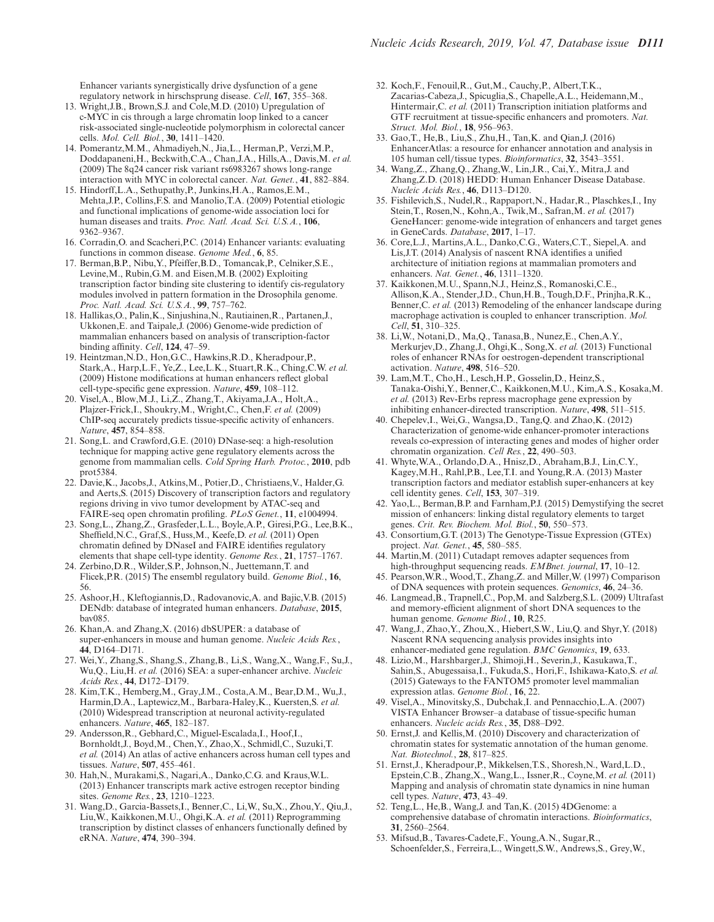<span id="page-5-0"></span>Enhancer variants synergistically drive dysfunction of a gene regulatory network in hirschsprung disease. *Cell*, **167**, 355–368.

- 13. Wright,J.B., Brown,S.J. and Cole,M.D. (2010) Upregulation of c-MYC in cis through a large chromatin loop linked to a cancer risk-associated single-nucleotide polymorphism in colorectal cancer cells. *Mol. Cell. Biol.*, **30**, 1411–1420.
- 14. Pomerantz,M.M., Ahmadiyeh,N., Jia,L., Herman,P., Verzi,M.P., Doddapaneni,H., Beckwith,C.A., Chan,J.A., Hills,A., Davis,M. *et al.* (2009) The 8q24 cancer risk variant rs6983267 shows long-range interaction with MYC in colorectal cancer. *Nat. Genet.*, **41**, 882–884.
- 15. Hindorff,L.A., Sethupathy,P., Junkins,H.A., Ramos,E.M., Mehta,J.P., Collins,F.S. and Manolio,T.A. (2009) Potential etiologic and functional implications of genome-wide association loci for human diseases and traits. *Proc. Natl. Acad. Sci. U.S.A.*, **106**, 9362–9367.
- 16. Corradin,O. and Scacheri,P.C. (2014) Enhancer variants: evaluating functions in common disease. *Genome Med.*, **6**, 85.
- 17. Berman,B.P., Nibu,Y., Pfeiffer,B.D., Tomancak,P., Celniker,S.E., Levine,M., Rubin,G.M. and Eisen,M.B. (2002) Exploiting transcription factor binding site clustering to identify cis-regulatory modules involved in pattern formation in the Drosophila genome. *Proc. Natl. Acad. Sci. U.S.A.*, **99**, 757–762.
- 18. Hallikas,O., Palin,K., Sinjushina,N., Rautiainen,R., Partanen,J., Ukkonen,E. and Taipale,J. (2006) Genome-wide prediction of mammalian enhancers based on analysis of transcription-factor binding affinity. *Cell*, **124**, 47–59.
- 19. Heintzman,N.D., Hon,G.C., Hawkins,R.D., Kheradpour,P., Stark,A., Harp,L.F., Ye,Z., Lee,L.K., Stuart,R.K., Ching,C.W. *et al.* (2009) Histone modifications at human enhancers reflect global cell-type-specific gene expression. *Nature*, **459**, 108–112.
- 20. Visel,A., Blow,M.J., Li,Z., Zhang,T., Akiyama,J.A., Holt,A., Plajzer-Frick,I., Shoukry,M., Wright,C., Chen,F. *et al.* (2009) ChIP-seq accurately predicts tissue-specific activity of enhancers. *Nature*, **457**, 854–858.
- 21. Song,L. and Crawford,G.E. (2010) DNase-seq: a high-resolution technique for mapping active gene regulatory elements across the genome from mammalian cells. *Cold Spring Harb. Protoc.*, **2010**, pdb prot5384.
- 22. Davie,K., Jacobs,J., Atkins,M., Potier,D., Christiaens,V., Halder,G. and Aerts,S. (2015) Discovery of transcription factors and regulatory regions driving in vivo tumor development by ATAC-seq and FAIRE-seq open chromatin profiling. *PLoS Genet.*, **11**, e1004994.
- 23. Song,L., Zhang,Z., Grasfeder,L.L., Boyle,A.P., Giresi,P.G., Lee,B.K., Sheffield,N.C., Graf,S., Huss,M., Keefe,D. *et al.* (2011) Open chromatin defined by DNaseI and FAIRE identifies regulatory elements that shape cell-type identity. *Genome Res.*, **21**, 1757–1767.
- 24. Zerbino,D.R., Wilder,S.P., Johnson,N., Juettemann,T. and Flicek,P.R. (2015) The ensembl regulatory build. *Genome Biol.*, **16**, 56.
- 25. Ashoor,H., Kleftogiannis,D., Radovanovic,A. and Bajic,V.B. (2015) DENdb: database of integrated human enhancers. *Database*, **2015**, bav085.
- 26. Khan,A. and Zhang,X. (2016) dbSUPER: a database of super-enhancers in mouse and human genome. *Nucleic Acids Res.*, **44**, D164–D171.
- 27. Wei,Y., Zhang,S., Shang,S., Zhang,B., Li,S., Wang,X., Wang,F., Su,J., Wu,Q., Liu,H. *et al.* (2016) SEA: a super-enhancer archive. *Nucleic Acids Res.*, **44**, D172–D179.
- 28. Kim,T.K., Hemberg,M., Gray,J.M., Costa,A.M., Bear,D.M., Wu,J., Harmin,D.A., Laptewicz,M., Barbara-Haley,K., Kuersten,S. *et al.* (2010) Widespread transcription at neuronal activity-regulated enhancers. *Nature*, **465**, 182–187.
- 29. Andersson,R., Gebhard,C., Miguel-Escalada,I., Hoof,I., Bornholdt,J., Boyd,M., Chen,Y., Zhao,X., Schmidl,C., Suzuki,T. *et al.* (2014) An atlas of active enhancers across human cell types and tissues. *Nature*, **507**, 455–461.
- 30. Hah,N., Murakami,S., Nagari,A., Danko,C.G. and Kraus,W.L. (2013) Enhancer transcripts mark active estrogen receptor binding sites. *Genome Res.*, **23**, 1210–1223.
- 31. Wang,D., Garcia-Bassets,I., Benner,C., Li,W., Su,X., Zhou,Y., Qiu,J., Liu,W., Kaikkonen,M.U., Ohgi,K.A. *et al.* (2011) Reprogramming transcription by distinct classes of enhancers functionally defined by eRNA. *Nature*, **474**, 390–394.
- 32. Koch,F., Fenouil,R., Gut,M., Cauchy,P., Albert,T.K., Zacarias-Cabeza,J., Spicuglia,S., Chapelle,A.L., Heidemann,M., Hintermair, C. *et al.* (2011) Transcription initiation platforms and GTF recruitment at tissue-specific enhancers and promoters. *Nat. Struct. Mol. Biol.*, **18**, 956–963.
- 33. Gao,T., He,B., Liu,S., Zhu,H., Tan,K. and Qian,J. (2016) EnhancerAtlas: a resource for enhancer annotation and analysis in 105 human cell/tissue types. *Bioinformatics*, **32**, 3543–3551.
- 34. Wang,Z., Zhang,Q., Zhang,W., Lin,J.R., Cai,Y., Mitra,J. and Zhang,Z.D. (2018) HEDD: Human Enhancer Disease Database. *Nucleic Acids Res.*, **46**, D113–D120.
- 35. Fishilevich,S., Nudel,R., Rappaport,N., Hadar,R., Plaschkes,I., Iny Stein,T., Rosen,N., Kohn,A., Twik,M., Safran,M. *et al.* (2017) GeneHancer: genome-wide integration of enhancers and target genes in GeneCards. *Database*, **2017**, 1–17.
- 36. Core,L.J., Martins,A.L., Danko,C.G., Waters,C.T., Siepel,A. and Lis,J.T. (2014) Analysis of nascent RNA identifies a unified architecture of initiation regions at mammalian promoters and enhancers. *Nat. Genet.*, **46**, 1311–1320.
- 37. Kaikkonen,M.U., Spann,N.J., Heinz,S., Romanoski,C.E., Allison,K.A., Stender,J.D., Chun,H.B., Tough,D.F., Prinjha,R.K., Benner,C. *et al.* (2013) Remodeling of the enhancer landscape during macrophage activation is coupled to enhancer transcription. *Mol. Cell*, **51**, 310–325.
- 38. Li,W., Notani,D., Ma,Q., Tanasa,B., Nunez,E., Chen,A.Y., Merkurjev,D., Zhang,J., Ohgi,K., Song,X. *et al.* (2013) Functional roles of enhancer RNAs for oestrogen-dependent transcriptional activation. *Nature*, **498**, 516–520.
- 39. Lam,M.T., Cho,H., Lesch,H.P., Gosselin,D., Heinz,S., Tanaka-Oishi,Y., Benner,C., Kaikkonen,M.U., Kim,A.S., Kosaka,M. *et al.* (2013) Rev-Erbs repress macrophage gene expression by inhibiting enhancer-directed transcription. *Nature*, **498**, 511–515.
- 40. Chepelev,I., Wei,G., Wangsa,D., Tang,Q. and Zhao,K. (2012) Characterization of genome-wide enhancer-promoter interactions reveals co-expression of interacting genes and modes of higher order chromatin organization. *Cell Res.*, **22**, 490–503.
- 41. Whyte,W.A., Orlando,D.A., Hnisz,D., Abraham,B.J., Lin,C.Y., Kagey,M.H., Rahl,P.B., Lee,T.I. and Young,R.A. (2013) Master transcription factors and mediator establish super-enhancers at key cell identity genes. *Cell*, **153**, 307–319.
- 42. Yao,L., Berman,B.P. and Farnham,P.J. (2015) Demystifying the secret mission of enhancers: linking distal regulatory elements to target genes. *Crit. Rev. Biochem. Mol. Biol.*, **50**, 550–573.
- 43. Consortium,G.T. (2013) The Genotype-Tissue Expression (GTEx) project. *Nat. Genet.*, **45**, 580–585.
- 44. Martin,M. (2011) Cutadapt removes adapter sequences from high-throughput sequencing reads. *EMBnet. journal*, **17**, 10–12.
- 45. Pearson,W.R., Wood,T., Zhang,Z. and Miller,W. (1997) Comparison of DNA sequences with protein sequences. *Genomics*, **46**, 24–36.
- 46. Langmead,B., Trapnell,C., Pop,M. and Salzberg,S.L. (2009) Ultrafast and memory-efficient alignment of short DNA sequences to the human genome. *Genome Biol.*, **10**, R25.
- 47. Wang,J., Zhao,Y., Zhou,X., Hiebert,S.W., Liu,Q. and Shyr,Y. (2018) Nascent RNA sequencing analysis provides insights into enhancer-mediated gene regulation. *BMC Genomics*, **19**, 633.
- 48. Lizio,M., Harshbarger,J., Shimoji,H., Severin,J., Kasukawa,T., Sahin,S., Abugessaisa,I., Fukuda,S., Hori,F., Ishikawa-Kato,S. *et al.* (2015) Gateways to the FANTOM5 promoter level mammalian expression atlas. *Genome Biol.*, **16**, 22.
- 49. Visel,A., Minovitsky,S., Dubchak,I. and Pennacchio,L.A. (2007) VISTA Enhancer Browser–a database of tissue-specific human enhancers. *Nucleic acids Res.*, **35**, D88–D92.
- 50. Ernst,J. and Kellis,M. (2010) Discovery and characterization of chromatin states for systematic annotation of the human genome. *Nat. Biotechnol.*, **28**, 817–825.
- 51. Ernst,J., Kheradpour,P., Mikkelsen,T.S., Shoresh,N., Ward,L.D., Epstein,C.B., Zhang,X., Wang,L., Issner,R., Coyne,M. *et al.* (2011) Mapping and analysis of chromatin state dynamics in nine human cell types. *Nature*, **473**, 43–49.
- 52. Teng,L., He,B., Wang,J. and Tan,K. (2015) 4DGenome: a comprehensive database of chromatin interactions. *Bioinformatics*, **31**, 2560–2564.
- 53. Mifsud,B., Tavares-Cadete,F., Young,A.N., Sugar,R., Schoenfelder,S., Ferreira,L., Wingett,S.W., Andrews,S., Grey,W.,